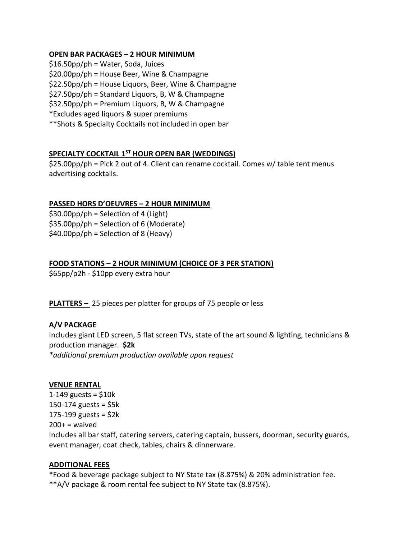## **OPEN BAR PACKAGES – 2 HOUR MINIMUM**

\$16.50pp/ph = Water, Soda, Juices \$20.00pp/ph = House Beer, Wine & Champagne \$22.50pp/ph = House Liquors, Beer, Wine & Champagne \$27.50pp/ph = Standard Liquors, B, W & Champagne \$32.50pp/ph = Premium Liquors, B, W & Champagne \*Excludes aged liquors & super premiums \*\*Shots & Specialty Cocktails not included in open bar

# **SPECIALTY COCKTAIL 1ST HOUR OPEN BAR (WEDDINGS)**

\$25.00pp/ph = Pick 2 out of 4. Client can rename cocktail. Comes w/ table tent menus advertising cocktails.

# **PASSED HORS D'OEUVRES – 2 HOUR MINIMUM**

 $$30.00$ pp/ph = Selection of 4 (Light) \$35.00pp/ph = Selection of 6 (Moderate)  $$40.00pp/ph = Selection of 8 (Heavy)$ 

# **FOOD STATIONS – 2 HOUR MINIMUM (CHOICE OF 3 PER STATION)**

\$65pp/p2h - \$10pp every extra hour

**PLATTERS –** 25 pieces per platter for groups of 75 people or less

# **A/V PACKAGE**

Includes giant LED screen, 5 flat screen TVs, state of the art sound & lighting, technicians & production manager. **\$2k** *\*additional premium production available upon request*

# **VENUE RENTAL**

1-149 guests =  $$10k$ 150-174 guests =  $$5k$ 175-199 guests = \$2k  $200+$  = waived Includes all bar staff, catering servers, catering captain, bussers, doorman, security guards, event manager, coat check, tables, chairs & dinnerware.

## **ADDITIONAL FEES**

\*Food & beverage package subject to NY State tax (8.875%) & 20% administration fee. \*\*A/V package & room rental fee subject to NY State tax (8.875%).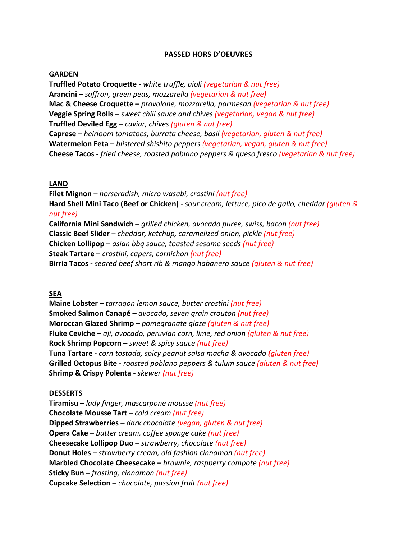## **PASSED HORS D'OEUVRES**

## **GARDEN**

**Truffled Potato Croquette -** *white truffle, aioli (vegetarian & nut free)* **Arancini –** *saffron, green peas, mozzarella (vegetarian & nut free)* **Mac & Cheese Croquette –** *provolone, mozzarella, parmesan (vegetarian & nut free)* **Veggie Spring Rolls –** *sweet chili sauce and chives (vegetarian, vegan & nut free)*  **Truffled Deviled Egg –** *caviar, chives (gluten & nut free)* **Caprese –** *heirloom tomatoes, burrata cheese, basil (vegetarian, gluten & nut free)* **Watermelon Feta –** *blistered shishito peppers (vegetarian, vegan, gluten & nut free)* **Cheese Tacos -** *fried cheese, roasted poblano peppers & queso fresco (vegetarian & nut free)*

## **LAND**

**Filet Mignon –** *horseradish, micro wasabi, crostini (nut free)* **Hard Shell Mini Taco (Beef or Chicken) -** *sour cream, lettuce, pico de gallo, cheddar (gluten & nut free)* **California Mini Sandwich –** *grilled chicken, avocado puree, swiss, bacon (nut free)* **Classic Beef Slider –** *cheddar, ketchup, caramelized onion, pickle (nut free)* **Chicken Lollipop –** *asian bbq sauce, toasted sesame seeds (nut free)* **Steak Tartare –** *crostini, capers, cornichon (nut free)* **Birria Tacos -** *seared beef short rib & mango habanero sauce (gluten & nut free)*

## **SEA**

**Maine Lobster –** *tarragon lemon sauce, butter crostini (nut free)* **Smoked Salmon Canapé –** *avocado, seven grain crouton (nut free)* **Moroccan Glazed Shrimp –** *pomegranate glaze (gluten & nut free)* **Fluke Ceviche –** *aji, avocado, peruvian corn, lime, red onion (gluten & nut free)* **Rock Shrimp Popcorn –** *sweet & spicy sauce (nut free)* **Tuna Tartare -** *corn tostada, spicy peanut salsa macha & avocado (gluten free)* **Grilled Octopus Bite -** *roasted poblano peppers & tulum sauce (gluten & nut free)* **Shrimp & Crispy Polenta -** *skewer (nut free)*

## **DESSERTS**

**Tiramisu –** *lady finger, mascarpone mousse (nut free)* **Chocolate Mousse Tart –** *cold cream (nut free)* **Dipped Strawberries –** *dark chocolate (vegan, gluten & nut free)* **Opera Cake –** *butter cream, coffee sponge cake (nut free)* **Cheesecake Lollipop Duo –** *strawberry, chocolate (nut free)* **Donut Holes –** *strawberry cream, old fashion cinnamon (nut free)* **Marbled Chocolate Cheesecake –** *brownie, raspberry compote (nut free)* **Sticky Bun –** *frosting, cinnamon (nut free)* **Cupcake Selection –** *chocolate, passion fruit (nut free)*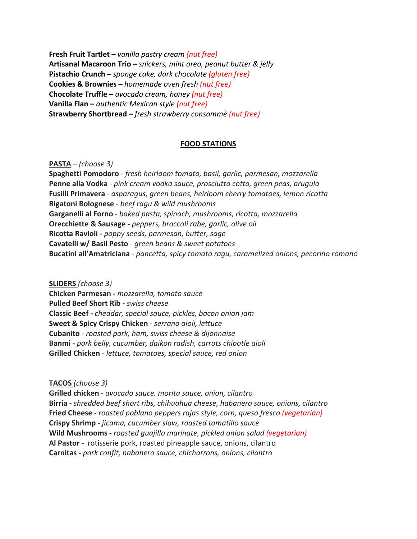**Fresh Fruit Tartlet –** *vanilla pastry cream (nut free)* **Artisanal Macaroon Trio –** *snickers, mint oreo, peanut butter & jelly* **Pistachio Crunch –** *sponge cake, dark chocolate (gluten free)* **Cookies & Brownies –** *homemade oven fresh (nut free)* **Chocolate Truffle –** *avocado cream, honey (nut free)* **Vanilla Flan –** *authentic Mexican style (nut free)* **Strawberry Shortbread –** *fresh strawberry consommé (nut free)*

## **FOOD STATIONS**

**PASTA** *– (choose 3)*

**Spaghetti Pomodoro** - *fresh heirloom tomato, basil, garlic, parmesan, mozzarella* **Penne alla Vodka** *- pink cream vodka sauce, prosciutto cotto, green peas, arugula* **Fusilli Primavera** *- asparagus, green beans, heirloom cherry tomatoes, lemon ricotta* **Rigatoni Bolognese** *- beef ragu & wild mushrooms* **Garganelli al Forno** *- baked pasta, spinach, mushrooms, ricotta, mozzarella* **Orecchiette & Sausage** *- peppers, broccoli rabe, garlic, olive oil* **Ricotta Ravioli** *- poppy seeds, parmesan, butter, sage* **Cavatelli w/ Basil Pesto** *- green beans & sweet potatoes* **Bucatini all'Amatriciana** *- pancetta, spicy tomato ragu, caramelized onions, pecorino romano*

**SLIDERS** *(choose 3)*

**Chicken Parmesan** *- mozzarella, tomato sauce* **Pulled Beef Short Rib** *- swiss cheese* **Classic Beef** *- cheddar, special sauce, pickles, bacon onion jam* **Sweet & Spicy Crispy Chicken** *- serrano aioli, lettuce* **Cubanito** *- roasted pork, ham, swiss cheese & dijonnaise* **Banmi** - *pork belly, cucumber, daikon radish, carrots chipotle aioli* **Grilled Chicken** *- lettuce, tomatoes, special sauce, red onion*

**TACOS** *(choose 3)*

**Grilled chicken** *- avocado sauce, morita sauce, onion, cilantro* **Birria -** *shredded beef short ribs, chihuahua cheese, habanero sauce, onions, cilantro* **Fried Cheese** *- roasted poblano peppers rajas style, corn, queso fresco (vegetarian)* **Crispy Shrimp** *- jicama, cucumber slaw, roasted tomatillo sauce* **Wild Mushrooms** *- roasted guajillo marinate, pickled onion salad (vegetarian)* **Al Pastor -** rotisserie pork, roasted pineapple sauce, onions, cilantro **Carnitas -** *pork confit, habanero sauce, chicharrons, onions, cilantro*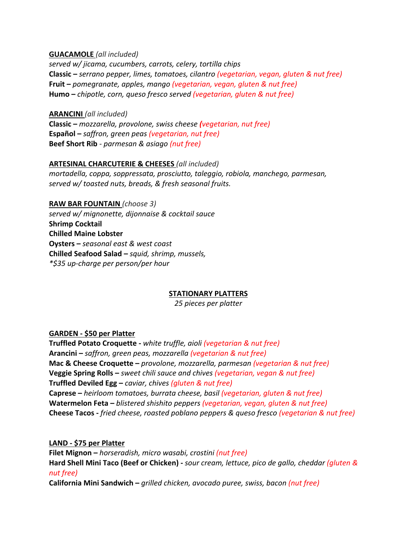**GUACAMOLE** *(all included)*

*served w/ jicama, cucumbers, carrots, celery, tortilla chips* **Classic –** *serrano pepper, limes, tomatoes, cilantro (vegetarian, vegan, gluten & nut free)*  **Fruit –** *pomegranate, apples, mango (vegetarian, vegan, gluten & nut free)* **Humo –** *chipotle, corn, queso fresco served (vegetarian, gluten & nut free)*

**ARANCINI** *(all included)* **Classic –** *mozzarella, provolone, swiss cheese (vegetarian, nut free)* **Español –** *saffron, green peas (vegetarian, nut free)* **Beef Short Rib** *- parmesan & asiago (nut free)*

# **ARTESINAL CHARCUTERIE & CHEESES** *(all included)*

*mortadella, coppa, soppressata, prosciutto, taleggio, robiola, manchego, parmesan, served w/ toasted nuts, breads, & fresh seasonal fruits.*

**RAW BAR FOUNTAIN** *(choose 3) served w/ mignonette, dijonnaise & cocktail sauce* **Shrimp Cocktail Chilled Maine Lobster Oysters –** *seasonal east & west coast* **Chilled Seafood Salad –** *squid, shrimp, mussels, \*\$35 up-charge per person/per hour*

# **STATIONARY PLATTERS**

*25 pieces per platter*

## **GARDEN - \$50 per Platter**

**Truffled Potato Croquette -** *white truffle, aioli (vegetarian & nut free)* **Arancini –** *saffron, green peas, mozzarella (vegetarian & nut free)* **Mac & Cheese Croquette –** *provolone, mozzarella, parmesan (vegetarian & nut free)* **Veggie Spring Rolls –** *sweet chili sauce and chives (vegetarian, vegan & nut free)*  **Truffled Deviled Egg –** *caviar, chives (gluten & nut free)* **Caprese –** *heirloom tomatoes, burrata cheese, basil (vegetarian, gluten & nut free)* **Watermelon Feta –** *blistered shishito peppers (vegetarian, vegan, gluten & nut free)* **Cheese Tacos -** *fried cheese, roasted poblano peppers & queso fresco (vegetarian & nut free)*

**LAND - \$75 per Platter**

**Filet Mignon –** *horseradish, micro wasabi, crostini (nut free)* **Hard Shell Mini Taco (Beef or Chicken) -** *sour cream, lettuce, pico de gallo, cheddar (gluten & nut free)* **California Mini Sandwich –** *grilled chicken, avocado puree, swiss, bacon (nut free)*